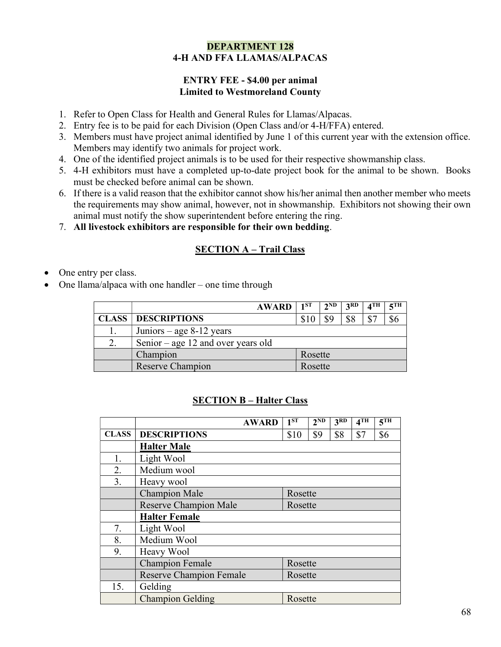#### DEPARTMENT 128 4-H AND FFA LLAMAS/ALPACAS

#### ENTRY FEE - \$4.00 per animal Limited to Westmoreland County

- 1. Refer to Open Class for Health and General Rules for Llamas/Alpacas.
- 2. Entry fee is to be paid for each Division (Open Class and/or 4-H/FFA) entered.
- 3. Members must have project animal identified by June 1 of this current year with the extension office. Members may identify two animals for project work.
- 4. One of the identified project animals is to be used for their respective showmanship class.
- 5. 4-H exhibitors must have a completed up-to-date project book for the animal to be shown. Books must be checked before animal can be shown.
- 6. If there is a valid reason that the exhibitor cannot show his/her animal then another member who meets the requirements may show animal, however, not in showmanship. Exhibitors not showing their own animal must notify the show superintendent before entering the ring.
- 7. All livestock exhibitors are responsible for their own bedding.

# SECTION A – Trail Class

- One entry per class.
- One llama/alpaca with one handler one time through

|    | <b>AWARD</b>                       | $1^{ST}$ | $2^{\rm ND}$ | 3RD  | $\mathbf{A}^{\mathrm{TH}}$ | $5$ TH |  |
|----|------------------------------------|----------|--------------|------|----------------------------|--------|--|
|    | <b>CLASS   DESCRIPTIONS</b>        | \$10     | \$9          | ں دی | \$7                        |        |  |
|    | Juniors – age $8-12$ years         |          |              |      |                            |        |  |
| 2. | Senior – age 12 and over years old |          |              |      |                            |        |  |
|    | Champion                           | Rosette  |              |      |                            |        |  |
|    | Reserve Champion                   | Rosette  |              |      |                            |        |  |

# **SECTION B – Halter Class**

|              | <b>AWARD</b>                   | $1^{ST}$ | $2^{\overline{ND}}$ | 3 <sub>RD</sub> | 4 <sup>TH</sup> | 5 <sup>TH</sup> |  |
|--------------|--------------------------------|----------|---------------------|-----------------|-----------------|-----------------|--|
| <b>CLASS</b> | <b>DESCRIPTIONS</b>            | \$10     | \$9                 | \$8             | \$7             | \$6             |  |
|              | <b>Halter Male</b>             |          |                     |                 |                 |                 |  |
| 1.           | Light Wool                     |          |                     |                 |                 |                 |  |
| 2.           | Medium wool                    |          |                     |                 |                 |                 |  |
| 3.           | Heavy wool                     |          |                     |                 |                 |                 |  |
|              | <b>Champion Male</b>           | Rosette  |                     |                 |                 |                 |  |
|              | <b>Reserve Champion Male</b>   | Rosette  |                     |                 |                 |                 |  |
|              | <b>Halter Female</b>           |          |                     |                 |                 |                 |  |
| 7.           | Light Wool                     |          |                     |                 |                 |                 |  |
| 8.           | Medium Wool                    |          |                     |                 |                 |                 |  |
| 9.           | Heavy Wool                     |          |                     |                 |                 |                 |  |
|              | <b>Champion Female</b>         | Rosette  |                     |                 |                 |                 |  |
|              | <b>Reserve Champion Female</b> | Rosette  |                     |                 |                 |                 |  |
| 15.          | Gelding                        |          |                     |                 |                 |                 |  |
|              | <b>Champion Gelding</b>        | Rosette  |                     |                 |                 |                 |  |